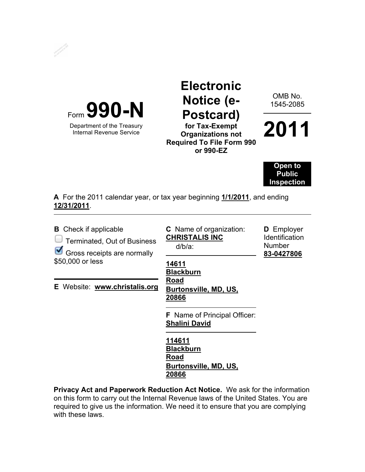



Department of the Treasury Internal Revenue Service

## **Electronic Notice (e-Postcard) for Tax-Exempt**

**Organizations not Required To File Form 990 or 990-EZ** 

OMB No. 1545-2085

**2011**

**Open to Public Inspection** 

**A** For the 2011 calendar year, or tax year beginning **1/1/2011**, and ending **12/31/2011**.

| <b>B</b> Check if applicable<br><b>Terminated, Out of Business</b><br>Gross receipts are normally<br>\$50,000 or less | <b>C</b> Name of organization:<br><b>CHRISTALIS INC</b><br>$d/b/a$ :<br>14611<br><b>Blackburn</b>                                                                                    | <b>D</b> Employer<br><b>Identification</b><br><b>Number</b><br>83-0427806 |
|-----------------------------------------------------------------------------------------------------------------------|--------------------------------------------------------------------------------------------------------------------------------------------------------------------------------------|---------------------------------------------------------------------------|
| E Website: www.christalis.org                                                                                         | Road<br>Burtonsville, MD, US,<br>20866<br><b>F</b> Name of Principal Officer:<br><b>Shalini David</b><br>114611<br><b>Blackburn</b><br>Road<br><b>Burtonsville, MD, US,</b><br>20866 |                                                                           |

**Privacy Act and Paperwork Reduction Act Notice.** We ask for the information on this form to carry out the Internal Revenue laws of the United States. You are required to give us the information. We need it to ensure that you are complying with these laws.